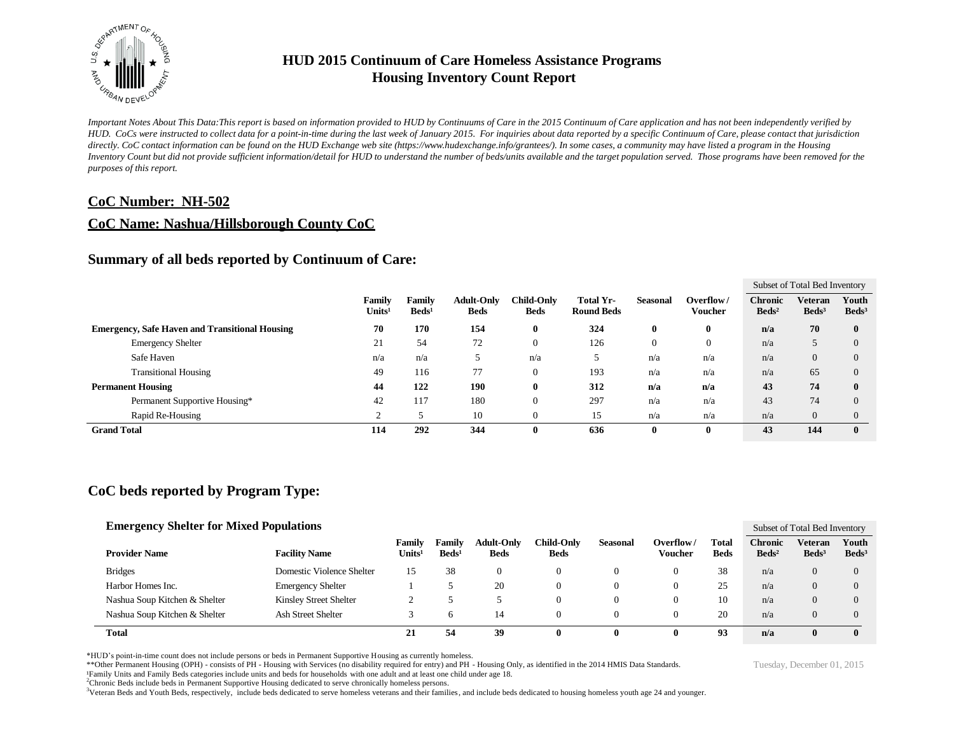

*Important Notes About This Data:This report is based on information provided to HUD by Continuums of Care in the 2015 Continuum of Care application and has not been independently verified by HUD. CoCs were instructed to collect data for a point-in-time during the last week of January 2015. For inquiries about data reported by a specific Continuum of Care, please contact that jurisdiction*  directly. CoC contact information can be found on the HUD Exchange web site (https://www.hudexchange.info/grantees/). In some cases, a community may have listed a program in the Housing *Inventory Count but did not provide sufficient information/detail for HUD to understand the number of beds/units available and the target population served. Those programs have been removed for the purposes of this report.*

## **CoC Number: NH-502**

## **CoC Name: Nashua/Hillsborough County CoC**

#### **Summary of all beds reported by Continuum of Care:**

|                          |                                                       |                              |                           |                                  |                                  |                                       |                 |                             | Subset of Total Bed Inventory     |                                     |                          |  |
|--------------------------|-------------------------------------------------------|------------------------------|---------------------------|----------------------------------|----------------------------------|---------------------------------------|-----------------|-----------------------------|-----------------------------------|-------------------------------------|--------------------------|--|
|                          |                                                       | Family<br>Units <sup>1</sup> | Family<br>$\text{Beds}^1$ | <b>Adult-Only</b><br><b>Beds</b> | <b>Child-Only</b><br><b>Beds</b> | <b>Total Yr-</b><br><b>Round Beds</b> | <b>Seasonal</b> | Overflow/<br><b>Voucher</b> | <b>Chronic</b><br>$\text{Beds}^2$ | <b>Veteran</b><br>Beds <sup>3</sup> | Youth<br>$\text{Beds}^3$ |  |
|                          | <b>Emergency, Safe Haven and Transitional Housing</b> | 70                           | 170                       | 154                              | $\bf{0}$                         | 324                                   | 0               | 0                           | n/a                               | 70                                  | $\mathbf{0}$             |  |
|                          | <b>Emergency Shelter</b>                              | 21                           | 54                        | 72                               | 0                                | 126                                   | $\mathbf{0}$    | 0                           | n/a                               |                                     | $\overline{0}$           |  |
|                          | Safe Haven                                            | n/a                          | n/a                       |                                  | n/a                              |                                       | n/a             | n/a                         | n/a                               | $\theta$                            | $\Omega$                 |  |
|                          | <b>Transitional Housing</b>                           | 49                           | 116                       | 77                               | O                                | 193                                   | n/a             | n/a                         | n/a                               | 65                                  | $\Omega$                 |  |
| <b>Permanent Housing</b> |                                                       | 44                           | 122                       | 190                              | $\bf{0}$                         | 312                                   | n/a             | n/a                         | 43                                | 74                                  | 0                        |  |
|                          | Permanent Supportive Housing*                         | 42                           | 117                       | 180                              | 0                                | 297                                   | n/a             | n/a                         | 43                                | 74                                  | $\Omega$                 |  |
|                          | Rapid Re-Housing                                      | $\bigcap$                    |                           | 10                               | v                                | 15                                    | n/a             | n/a                         | n/a                               | $\mathbf{0}$                        | $\Omega$                 |  |
| <b>Grand Total</b>       |                                                       | 114                          | 292                       | 344                              | $\bf{0}$                         | 636                                   | $\bf{0}$        | 0                           | 43                                | 144                                 | $\mathbf{0}$             |  |

## **CoC beds reported by Program Type:**

| <b>Emergency Shelter for Mixed Populations</b> |                               |                           |                              |                             |                                  |                                  |          |                      |                      |                                     | Subset of Total Bed Inventory |                          |  |
|------------------------------------------------|-------------------------------|---------------------------|------------------------------|-----------------------------|----------------------------------|----------------------------------|----------|----------------------|----------------------|-------------------------------------|-------------------------------|--------------------------|--|
|                                                | <b>Provider Name</b>          | <b>Facility Name</b>      | Family<br>Units <sup>1</sup> | Family<br>Beds <sup>1</sup> | <b>Adult-Only</b><br><b>Beds</b> | <b>Child-Only</b><br><b>Beds</b> | Seasonal | Overflow/<br>Voucher | Total<br><b>Beds</b> | <b>Chronic</b><br>Beds <sup>2</sup> | Veteran<br>Beds <sup>3</sup>  | Youth<br>$\text{Beds}^3$ |  |
|                                                | <b>Bridges</b>                | Domestic Violence Shelter | 15                           | 38                          |                                  | $\Omega$                         |          |                      | 38                   | n/a                                 | $\theta$                      | $\theta$                 |  |
|                                                | Harbor Homes Inc.             | <b>Emergency Shelter</b>  |                              |                             | 20                               | $\Omega$                         |          |                      | 25                   | n/a                                 | $\theta$                      | $\theta$                 |  |
|                                                | Nashua Soup Kitchen & Shelter | Kinsley Street Shelter    |                              |                             |                                  | 0                                |          |                      | 10                   | n/a                                 | $\theta$                      | $\theta$                 |  |
|                                                | Nashua Soup Kitchen & Shelter | <b>Ash Street Shelter</b> |                              |                             | 14                               | $\Omega$                         |          |                      | 20                   | n/a                                 | $\theta$                      | $\theta$                 |  |
|                                                | <b>Total</b>                  |                           | 21                           | 54                          | 39                               | 0                                |          |                      | 93                   | n/a                                 |                               |                          |  |

\*HUD's point-in-time count does not include persons or beds in Permanent Supportive Housing as currently homeless.

\*\*Other Permanent Housing (OPH) - consists of PH - Housing with Services (no disability required for entry) and PH - Housing Only, as identified in the 2014 HMIS Data Standards.

¹Family Units and Family Beds categories include units and beds for households with one adult and at least one child under age 18.

<sup>2</sup>Chronic Beds include beds in Permanent Supportive Housing dedicated to serve chronically homeless persons.

<sup>3</sup>Veteran Beds and Youth Beds, respectively, include beds dedicated to serve homeless veterans and their families, and include beds dedicated to housing homeless youth age 24 and younger.

Tuesday, December 01, 2015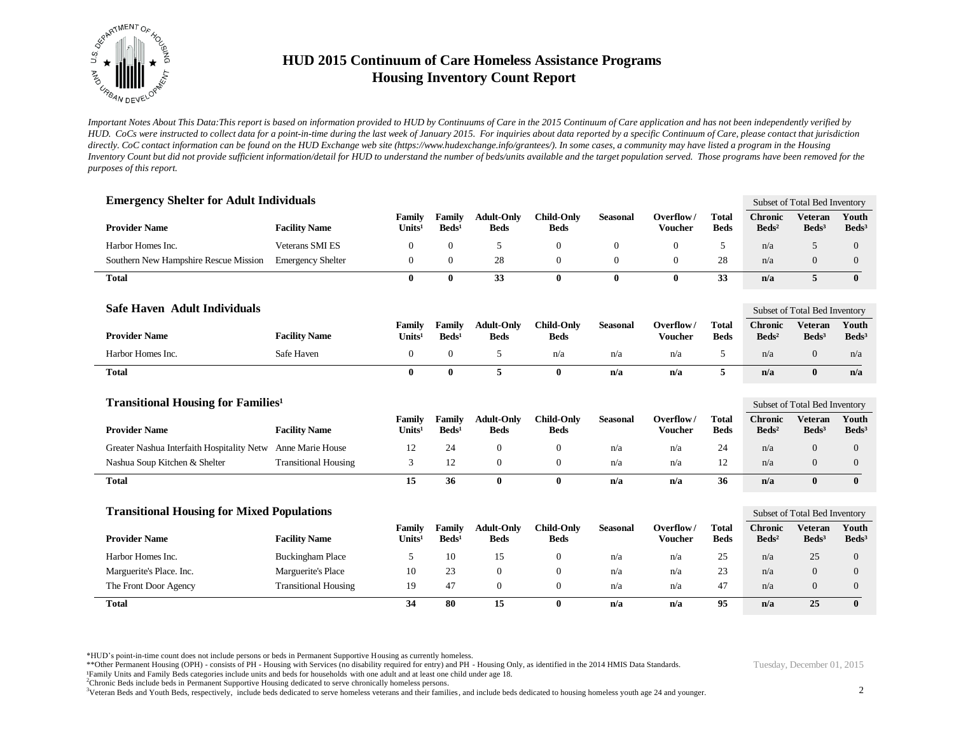

*Important Notes About This Data:This report is based on information provided to HUD by Continuums of Care in the 2015 Continuum of Care application and has not been independently verified by HUD. CoCs were instructed to collect data for a point-in-time during the last week of January 2015. For inquiries about data reported by a specific Continuum of Care, please contact that jurisdiction*  directly. CoC contact information can be found on the HUD Exchange web site (https://www.hudexchange.info/grantees/). In some cases, a community may have listed a program in the Housing *Inventory Count but did not provide sufficient information/detail for HUD to understand the number of beds/units available and the target population served. Those programs have been removed for the purposes of this report.*

| <b>Emergency Shelter for Adult Individuals</b>       |                             |                              |                             |                                  |                                  |                 |                             |                             |                                   | Subset of Total Bed Inventory     |                            |  |
|------------------------------------------------------|-----------------------------|------------------------------|-----------------------------|----------------------------------|----------------------------------|-----------------|-----------------------------|-----------------------------|-----------------------------------|-----------------------------------|----------------------------|--|
| <b>Provider Name</b>                                 | <b>Facility Name</b>        | Family<br>Units <sup>1</sup> | Family<br>Beds <sup>1</sup> | <b>Adult-Only</b><br><b>Beds</b> | <b>Child-Only</b><br><b>Beds</b> | <b>Seasonal</b> | Overflow/<br><b>Voucher</b> | <b>Total</b><br><b>Beds</b> | <b>Chronic</b><br>$\text{Beds}^2$ | <b>Veteran</b><br>$\text{Beds}^3$ | Youth<br>$\text{Beds}^3$   |  |
| Harbor Homes Inc.                                    | <b>Veterans SMI ES</b>      | $\theta$                     | $\mathbf{0}$                | 5                                | $\mathbf{0}$                     | $\mathbf{0}$    | $\Omega$                    | 5                           | n/a                               | 5                                 | $\mathbf{0}$               |  |
| Southern New Hampshire Rescue Mission                | <b>Emergency Shelter</b>    | $\mathbf{0}$                 | $\mathbf{0}$                | 28                               | $\mathbf{0}$                     | $\mathbf{0}$    | $\mathbf{0}$                | 28                          | n/a                               | $\mathbf{0}$                      | $\mathbf{0}$               |  |
| <b>Total</b>                                         |                             | $\bf{0}$                     | $\bf{0}$                    | 33                               | $\bf{0}$                         | $\bf{0}$        | $\bf{0}$                    | 33                          | n/a                               | 5                                 | $\bf{0}$                   |  |
| <b>Safe Haven Adult Individuals</b>                  |                             |                              |                             |                                  |                                  |                 |                             |                             |                                   | Subset of Total Bed Inventory     |                            |  |
| <b>Provider Name</b>                                 | <b>Facility Name</b>        | Family<br>Units <sup>1</sup> | Family<br>Beds <sup>1</sup> | <b>Adult-Only</b><br><b>Beds</b> | <b>Child-Only</b><br><b>Beds</b> | <b>Seasonal</b> | Overflow/<br><b>Voucher</b> | <b>Total</b><br><b>Beds</b> | <b>Chronic</b><br>$\text{Beds}^2$ | <b>Veteran</b><br>$\text{Beds}^3$ | Youth<br>Beds <sup>3</sup> |  |
| Harbor Homes Inc.                                    | Safe Haven                  | $\boldsymbol{0}$             | $\mathbf{0}$                | 5                                | n/a                              | n/a             | n/a                         | 5                           | n/a                               | $\mathbf{0}$                      | n/a                        |  |
| <b>Total</b>                                         |                             | $\bf{0}$                     | $\bf{0}$                    | 5                                | $\bf{0}$                         | n/a             | n/a                         | 5                           | n/a                               | $\bf{0}$                          | n/a                        |  |
| <b>Transitional Housing for Families<sup>1</sup></b> |                             |                              |                             |                                  |                                  |                 |                             |                             | Subset of Total Bed Inventory     |                                   |                            |  |
| <b>Provider Name</b>                                 | <b>Facility Name</b>        | Family<br>Unit $s1$          | Family<br>Beds <sup>1</sup> | <b>Adult-Only</b><br><b>Beds</b> | <b>Child-Only</b><br><b>Beds</b> | <b>Seasonal</b> | Overflow/<br><b>Voucher</b> | <b>Total</b><br><b>Beds</b> | <b>Chronic</b><br>$\text{Beds}^2$ | <b>Veteran</b><br>$\text{Beds}^3$ | Youth<br>Beds <sup>3</sup> |  |
| Greater Nashua Interfaith Hospitality Netw           | Anne Marie House            | 12                           | 24                          | $\theta$                         | $\mathbf{0}$                     | n/a             | n/a                         | 24                          | n/a                               | $\mathbf{0}$                      | $\mathbf{0}$               |  |
| Nashua Soup Kitchen & Shelter                        | <b>Transitional Housing</b> | 3                            | 12                          | $\boldsymbol{0}$                 | $\boldsymbol{0}$                 | n/a             | n/a                         | 12                          | n/a                               | $\mathbf{0}$                      | $\mathbf{0}$               |  |
| <b>Total</b>                                         |                             | 15                           | 36                          | $\mathbf{0}$                     | $\bf{0}$                         | n/a             | n/a                         | 36                          | n/a                               | $\mathbf{0}$                      | $\mathbf{0}$               |  |
| <b>Transitional Housing for Mixed Populations</b>    |                             |                              |                             |                                  |                                  |                 |                             |                             |                                   | Subset of Total Bed Inventory     |                            |  |
|                                                      |                             | Family                       | Family                      | <b>Adult-Only</b>                | <b>Child-Only</b>                | <b>Seasonal</b> | Overflow/                   | <b>Total</b>                | <b>Chronic</b>                    | <b>Veteran</b>                    | Youth                      |  |
| <b>Provider Name</b>                                 | <b>Facility Name</b>        | Unit $s1$                    | $\text{Beds}^1$             | <b>Beds</b>                      | <b>Beds</b>                      |                 | <b>Voucher</b>              | <b>Beds</b>                 | $\text{Beds}^2$                   | $\text{Beds}^3$                   | Beds <sup>3</sup>          |  |
| Harbor Homes Inc.                                    | <b>Buckingham Place</b>     | 5                            | 10                          | 15                               | $\theta$                         | n/a             | n/a                         | 25                          | n/a                               | 25                                | $\mathbf{0}$               |  |
| Marguerite's Place. Inc.                             | Marguerite's Place          | 10                           | 23                          | $\theta$                         | $\theta$                         | n/a             | n/a                         | 23                          | n/a                               | $\mathbf{0}$                      | $\mathbf{0}$               |  |
| The Front Door Agency                                | <b>Transitional Housing</b> | 19                           | 47                          | $\overline{0}$                   | $\theta$                         | n/a             | n/a                         | 47                          | n/a                               | $\mathbf{0}$                      | $\mathbf{0}$               |  |
| <b>Total</b>                                         |                             | 34                           | 80                          | 15                               | $\bf{0}$                         | n/a             | n/a                         | 95                          | n/a                               | 25                                | $\bf{0}$                   |  |

\*HUD's point-in-time count does not include persons or beds in Permanent Supportive Housing as currently homeless.

\*\*Other Permanent Housing (OPH) - consists of PH - Housing with Services (no disability required for entry) and PH - Housing Only, as identified in the 2014 HMIS Data Standards.

¹Family Units and Family Beds categories include units and beds for households with one adult and at least one child under age 18.

<sup>2</sup>Chronic Beds include beds in Permanent Supportive Housing dedicated to serve chronically homeless persons.

<sup>3</sup>Veteran Beds and Youth Beds, respectively, include beds dedicated to serve homeless veterans and their families, and include beds dedicated to housing homeless youth age 24 and younger.

Tuesday, December 01, 2015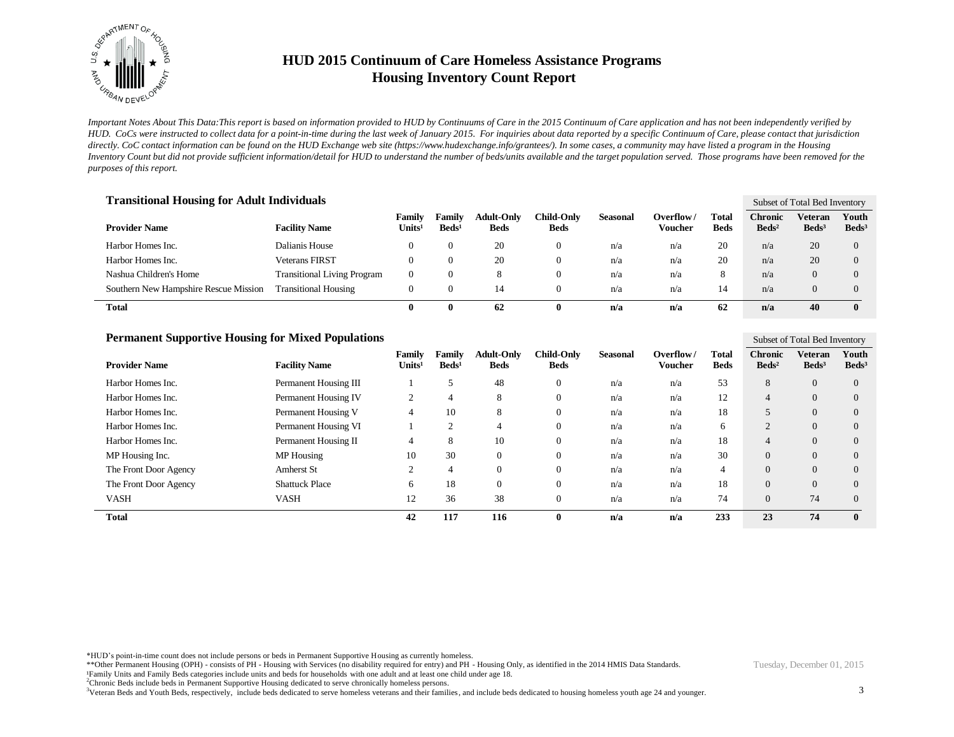

*Important Notes About This Data:This report is based on information provided to HUD by Continuums of Care in the 2015 Continuum of Care application and has not been independently verified by HUD. CoCs were instructed to collect data for a point-in-time during the last week of January 2015. For inquiries about data reported by a specific Continuum of Care, please contact that jurisdiction*  directly. CoC contact information can be found on the HUD Exchange web site (https://www.hudexchange.info/grantees/). In some cases, a community may have listed a program in the Housing *Inventory Count but did not provide sufficient information/detail for HUD to understand the number of beds/units available and the target population served. Those programs have been removed for the purposes of this report.*

| <b>Transitional Housing for Adult Individuals</b> |                                    |                              |                           |                                  |                                  |                 |                      |                      |                                   | Subset of Total Bed Inventory       |                            |  |
|---------------------------------------------------|------------------------------------|------------------------------|---------------------------|----------------------------------|----------------------------------|-----------------|----------------------|----------------------|-----------------------------------|-------------------------------------|----------------------------|--|
| <b>Provider Name</b>                              | <b>Facility Name</b>               | Family<br>Units <sup>1</sup> | Family<br>$\text{Beds}^1$ | <b>Adult-Only</b><br><b>Beds</b> | <b>Child-Only</b><br><b>Beds</b> | <b>Seasonal</b> | Overflow/<br>Voucher | Total<br><b>Beds</b> | <b>Chronic</b><br>$\text{Beds}^2$ | <b>Veteran</b><br>Beds <sup>3</sup> | Youth<br>Beds <sup>3</sup> |  |
| Harbor Homes Inc.                                 | Dalianis House                     | 0                            | 0                         | 20                               | 0                                | n/a             | n/a                  | 20                   | n/a                               | 20                                  | $\Omega$                   |  |
| Harbor Homes Inc.                                 | <b>Veterans FIRST</b>              | 0                            | 0                         | 20                               | 0                                | n/a             | n/a                  | 20                   | n/a                               | 20                                  | $\Omega$                   |  |
| Nashua Children's Home                            | <b>Transitional Living Program</b> | $\mathbf{0}$                 | 0                         |                                  | 0                                | n/a             | n/a                  | 8                    | n/a                               | $\Omega$                            |                            |  |
| Southern New Hampshire Rescue Mission             | <b>Transitional Housing</b>        | 0                            | 0                         | 14                               | 0                                | n/a             | n/a                  | 14                   | n/a                               | $\Omega$                            |                            |  |
| Total                                             |                                    | $\mathbf{0}$                 | 0                         | 62                               | o                                | n/a             | n/a                  | 62                   | n/a                               | 40                                  |                            |  |

| <b>Provider Name</b>  | <b>Facility Name</b>  | Familv<br>Units <sup>1</sup> | Family<br>$\text{Beds}^1$ | <b>Adult-Only</b><br><b>Beds</b> | <b>Child-Only</b><br><b>Beds</b> | <b>Seasonal</b> | Overflow/<br><b>Voucher</b> | Total<br><b>Beds</b> | <b>Chronic</b><br>$\text{Beds}^2$ | Veteran<br>Beds <sup>3</sup> | Youth<br>Beds <sup>3</sup> |
|-----------------------|-----------------------|------------------------------|---------------------------|----------------------------------|----------------------------------|-----------------|-----------------------------|----------------------|-----------------------------------|------------------------------|----------------------------|
| Harbor Homes Inc.     | Permanent Housing III |                              |                           | 48                               | $\theta$                         | n/a             | n/a                         | 53                   | 8                                 | $\theta$                     | $\Omega$                   |
| Harbor Homes Inc.     | Permanent Housing IV  |                              | 4                         | 8                                | $\theta$                         | n/a             | n/a                         | 12                   | $\overline{4}$                    | $\theta$                     | $\Omega$                   |
| Harbor Homes Inc.     | Permanent Housing V   | 4                            | 10                        | 8                                | $\theta$                         | n/a             | n/a                         | 18                   | 5                                 | $\theta$                     | $\Omega$                   |
| Harbor Homes Inc.     | Permanent Housing VI  |                              | $\sim$                    | 4                                | $\theta$                         | n/a             | n/a                         | 6                    | $\Omega$                          | $\mathbf{0}$                 | $\Omega$                   |
| Harbor Homes Inc.     | Permanent Housing II  | 4                            | 8                         | 10                               | $\theta$                         | n/a             | n/a                         | 18                   | $\overline{4}$                    | $\theta$                     | $\Omega$                   |
| MP Housing Inc.       | MP Housing            | 10                           | 30                        | $\theta$                         | $\theta$                         | n/a             | n/a                         | 30                   | $\theta$                          | $\overline{0}$               | $\Omega$                   |
| The Front Door Agency | Amherst St            | ↑                            | 4                         | $\overline{0}$                   | $\theta$                         | n/a             | n/a                         | 4                    | $\theta$                          | $\theta$                     | $\Omega$                   |
| The Front Door Agency | <b>Shattuck Place</b> | 6                            | 18                        | $\Omega$                         | $\Omega$                         | n/a             | n/a                         | 18                   | $\overline{0}$                    | $\Omega$                     | $\Omega$                   |
| <b>VASH</b>           | <b>VASH</b>           | 12                           | 36                        | 38                               | $\Omega$                         | n/a             | n/a                         | 74                   | $\overline{0}$                    | 74                           | $\Omega$                   |
| <b>Total</b>          |                       | 42                           | 117                       | 116                              | 0                                | n/a             | n/a                         | 233                  | 23                                | 74                           | $\mathbf{0}$               |

\*HUD's point-in-time count does not include persons or beds in Permanent Supportive Housing as currently homeless.

\*\*Other Permanent Housing (OPH) - consists of PH - Housing with Services (no disability required for entry) and PH - Housing Only, as identified in the 2014 HMIS Data Standards.

¹Family Units and Family Beds categories include units and beds for households with one adult and at least one child under age 18.

<sup>2</sup>Chronic Beds include beds in Permanent Supportive Housing dedicated to serve chronically homeless persons.

<sup>3</sup>Veteran Beds and Youth Beds, respectively, include beds dedicated to serve homeless veterans and their families, and include beds dedicated to housing homeless youth age 24 and younger.

Tuesday, December 01, 2015

Subset of Total Bed Inventory